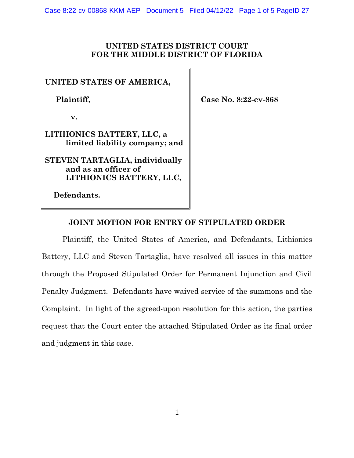#### **UNITED STATES DISTRICT COURT FOR THE MIDDLE DISTRICT OF FLORIDA**

## **UNITED STATES OF AMERICA,**

 **Plaintiff,** 

**v.** 

## **LITHIONICS BATTERY, LLC, a limited liability company; and**

**STEVEN TARTAGLIA, individually and as an officer of LITHIONICS BATTERY, LLC,** 

**Defendants.** 

**Case No. 8:22-cv-868** 

## **JOINT MOTION FOR ENTRY OF STIPULATED ORDER**

Plaintiff, the United States of America, and Defendants, Lithionics Battery, LLC and Steven Tartaglia, have resolved all issues in this matter through the Proposed Stipulated Order for Permanent Injunction and Civil Penalty Judgment. Defendants have waived service of the summons and the Complaint. In light of the agreed-upon resolution for this action, the parties request that the Court enter the attached Stipulated Order as its final order and judgment in this case.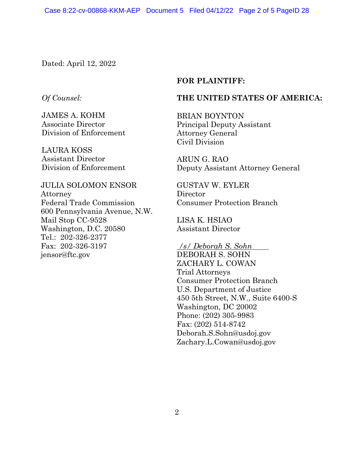Dated: April 12, 2022

## *Of Counsel:*

JAMES A. KOHM Associate Director Division of Enforcement

LAURA KOSS Assistant Director Division of Enforcement

#### JULIA SOLOMON ENSOR

Attorney Federal Trade Commission 600 Pennsylvania Avenue, N.W. Mail Stop CC-9528 Washington, D.C. 20580 Tel.: 202-326-2377 Fax: 202-326-3197 [jensor@ftc.gov](mailto:jensor@ftc.gov) 

#### **FOR PLAINTIFF:**

## **THE UNITED STATES OF AMERICA:**

BRIAN BOYNTON Principal Deputy Assistant Attorney General Civil Division

ARUN G. RAO Deputy Assistant Attorney General

GUSTAV W. EYLER **Director** Consumer Protection Branch

LISA K. HSIAO Assistant Director

*/s/ Deborah S. Sohn*

DEBORAH S. SOHN ZACHARY L. COWAN Trial Attorneys Consumer Protection Branch U.S. Department of Justice 450 5th Street, N.W., Suite 6400-S Washington, DC 20002 Phone: (202) 305-9983 Fax: (202) 514-8742 [Deborah.S.Sohn@usdoj.gov](mailto:Deborah.S.Sohn@usdoj.gov) [Zachary.L.Cowan@usdoj.gov](mailto:Zachary.L.Cowan@usdoj.gov)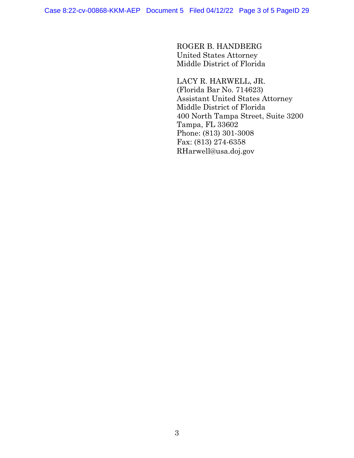ROGER B. HANDBERG United States Attorney Middle District of Florida

LACY R. HARWELL, JR. (Florida Bar No. 714623) Assistant United States Attorney Middle District of Florida 400 North Tampa Street, Suite 3200 Tampa, FL 33602 Phone: (813) 301-3008 Fax: (813) 274-6358 [RHarwell@usa.doj.gov](mailto:RHarwell@usa.doj.gov)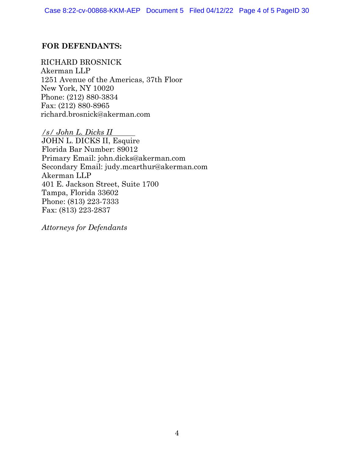# **FOR DEFENDANTS:**

RICHARD BROSNICK Akerman LLP 1251 Avenue of the Americas, 37th Floor New York, NY 10020 Phone: (212) 880-3834 Fax: (212) 880-8965 [richard.brosnick@akerman.com](mailto:richard.brosnick@akerman.com)

*/s/ John L. Dicks II* JOHN L. DICKS II, Esquire Florida Bar Number: 89012 Primary Email: [john.dicks@akerman.com](mailto:john.dicks@akerman.com) Secondary Email: [judy.mcarthur@akerman.com](mailto:judy.mcarthur@akerman.com) Akerman LLP 401 E. Jackson Street, Suite 1700 Tampa, Florida 33602 Phone: (813) 223-7333 Fax: (813) 223-2837

*Attorneys for Defendants*